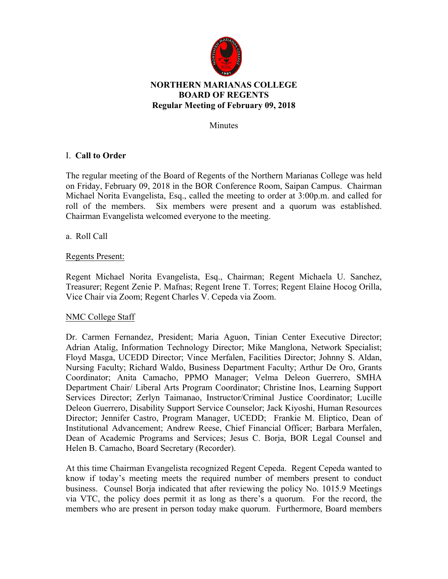

## **NORTHERN MARIANAS COLLEGE BOARD OF REGENTS Regular Meeting of February 09, 2018**

Minutes

# I. **Call to Order**

The regular meeting of the Board of Regents of the Northern Marianas College was held on Friday, February 09, 2018 in the BOR Conference Room, Saipan Campus. Chairman Michael Norita Evangelista, Esq., called the meeting to order at 3:00p.m. and called for roll of the members. Six members were present and a quorum was established. Chairman Evangelista welcomed everyone to the meeting.

a. Roll Call

## Regents Present:

Regent Michael Norita Evangelista, Esq., Chairman; Regent Michaela U. Sanchez, Treasurer; Regent Zenie P. Mafnas; Regent Irene T. Torres; Regent Elaine Hocog Orilla, Vice Chair via Zoom; Regent Charles V. Cepeda via Zoom.

#### NMC College Staff

Dr. Carmen Fernandez, President; Maria Aguon, Tinian Center Executive Director; Adrian Atalig, Information Technology Director; Mike Manglona, Network Specialist; Floyd Masga, UCEDD Director; Vince Merfalen, Facilities Director; Johnny S. Aldan, Nursing Faculty; Richard Waldo, Business Department Faculty; Arthur De Oro, Grants Coordinator; Anita Camacho, PPMO Manager; Velma Deleon Guerrero, SMHA Department Chair/ Liberal Arts Program Coordinator; Christine Inos, Learning Support Services Director; Zerlyn Taimanao, Instructor/Criminal Justice Coordinator; Lucille Deleon Guerrero, Disability Support Service Counselor; Jack Kiyoshi, Human Resources Director; Jennifer Castro, Program Manager, UCEDD; Frankie M. Eliptico, Dean of Institutional Advancement; Andrew Reese, Chief Financial Officer; Barbara Merfalen, Dean of Academic Programs and Services; Jesus C. Borja, BOR Legal Counsel and Helen B. Camacho, Board Secretary (Recorder).

At this time Chairman Evangelista recognized Regent Cepeda. Regent Cepeda wanted to know if today's meeting meets the required number of members present to conduct business. Counsel Borja indicated that after reviewing the policy No. 1015.9 Meetings via VTC, the policy does permit it as long as there's a quorum. For the record, the members who are present in person today make quorum. Furthermore, Board members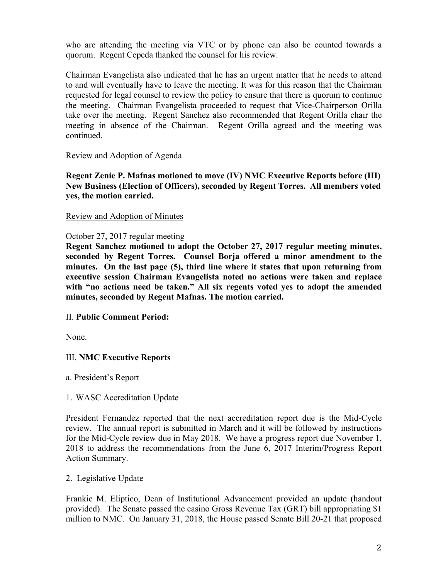who are attending the meeting via VTC or by phone can also be counted towards a quorum. Regent Cepeda thanked the counsel for his review.

Chairman Evangelista also indicated that he has an urgent matter that he needs to attend to and will eventually have to leave the meeting. It was for this reason that the Chairman requested for legal counsel to review the policy to ensure that there is quorum to continue the meeting. Chairman Evangelista proceeded to request that Vice-Chairperson Orilla take over the meeting. Regent Sanchez also recommended that Regent Orilla chair the meeting in absence of the Chairman. Regent Orilla agreed and the meeting was continued.

## Review and Adoption of Agenda

**Regent Zenie P. Mafnas motioned to move (IV) NMC Executive Reports before (III) New Business (Election of Officers), seconded by Regent Torres. All members voted yes, the motion carried.**

#### Review and Adoption of Minutes

## October 27, 2017 regular meeting

**Regent Sanchez motioned to adopt the October 27, 2017 regular meeting minutes, seconded by Regent Torres. Counsel Borja offered a minor amendment to the minutes. On the last page (5), third line where it states that upon returning from executive session Chairman Evangelista noted no actions were taken and replace with "no actions need be taken." All six regents voted yes to adopt the amended minutes, seconded by Regent Mafnas. The motion carried.** 

#### II. **Public Comment Period:**

None.

## III. **NMC Executive Reports**

#### a. President's Report

#### 1. WASC Accreditation Update

President Fernandez reported that the next accreditation report due is the Mid-Cycle review. The annual report is submitted in March and it will be followed by instructions for the Mid-Cycle review due in May 2018. We have a progress report due November 1, 2018 to address the recommendations from the June 6, 2017 Interim/Progress Report Action Summary.

#### 2. Legislative Update

Frankie M. Eliptico, Dean of Institutional Advancement provided an update (handout provided). The Senate passed the casino Gross Revenue Tax (GRT) bill appropriating \$1 million to NMC. On January 31, 2018, the House passed Senate Bill 20-21 that proposed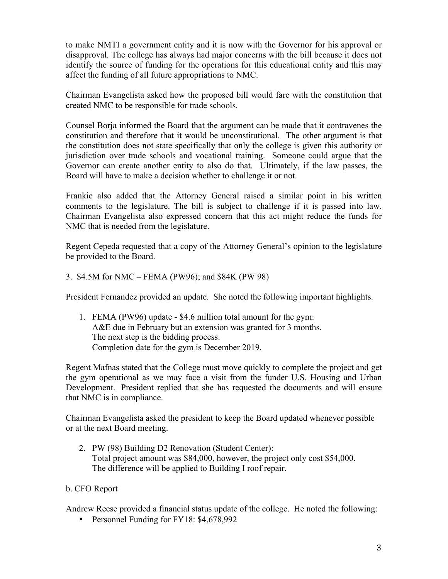to make NMTI a government entity and it is now with the Governor for his approval or disapproval. The college has always had major concerns with the bill because it does not identify the source of funding for the operations for this educational entity and this may affect the funding of all future appropriations to NMC.

Chairman Evangelista asked how the proposed bill would fare with the constitution that created NMC to be responsible for trade schools.

Counsel Borja informed the Board that the argument can be made that it contravenes the constitution and therefore that it would be unconstitutional. The other argument is that the constitution does not state specifically that only the college is given this authority or jurisdiction over trade schools and vocational training. Someone could argue that the Governor can create another entity to also do that. Ultimately, if the law passes, the Board will have to make a decision whether to challenge it or not.

Frankie also added that the Attorney General raised a similar point in his written comments to the legislature. The bill is subject to challenge if it is passed into law. Chairman Evangelista also expressed concern that this act might reduce the funds for NMC that is needed from the legislature.

Regent Cepeda requested that a copy of the Attorney General's opinion to the legislature be provided to the Board.

3. \$4.5M for NMC – FEMA (PW96); and \$84K (PW 98)

President Fernandez provided an update. She noted the following important highlights.

1. FEMA (PW96) update - \$4.6 million total amount for the gym: A&E due in February but an extension was granted for 3 months. The next step is the bidding process. Completion date for the gym is December 2019.

Regent Mafnas stated that the College must move quickly to complete the project and get the gym operational as we may face a visit from the funder U.S. Housing and Urban Development. President replied that she has requested the documents and will ensure that NMC is in compliance.

Chairman Evangelista asked the president to keep the Board updated whenever possible or at the next Board meeting.

- 2. PW (98) Building D2 Renovation (Student Center): Total project amount was \$84,000, however, the project only cost \$54,000. The difference will be applied to Building I roof repair.
- b. CFO Report

Andrew Reese provided a financial status update of the college. He noted the following:

• Personnel Funding for FY18: \$4,678,992